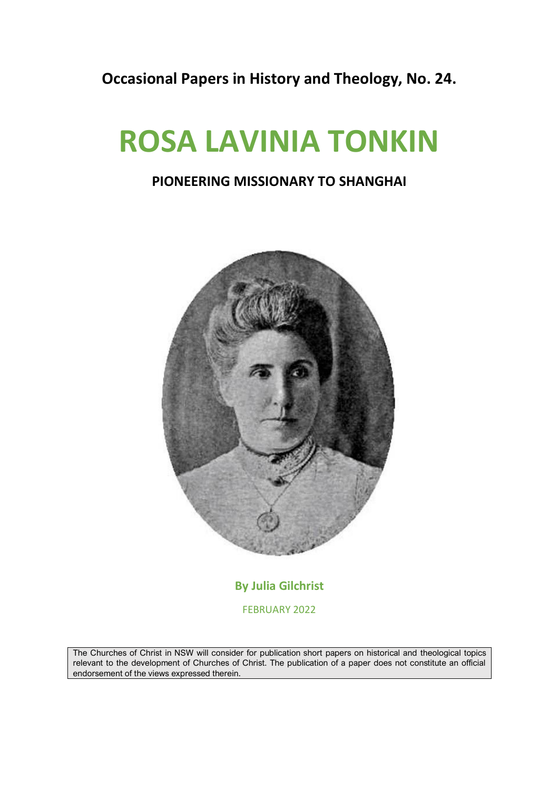**Occasional Papers in History and Theology, No. 24.**

## **ROSA LAVINIA TONKIN**

## **PIONEERING MISSIONARY TO SHANGHAI**



**By Julia Gilchrist** FEBRUARY 2022

The Churches of Christ in NSW will consider for publication short papers on historical and theological topics relevant to the development of Churches of Christ. The publication of a paper does not constitute an official endorsement of the views expressed therein.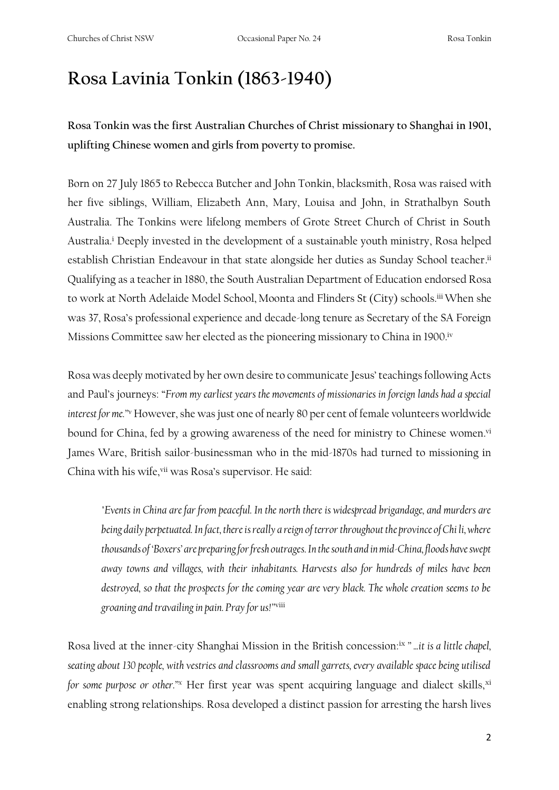## **Rosa Lavinia Tonkin (1863-1940)**

**Rosa Tonkin was the first Australian Churches of Christ missionary to Shanghai in 1901, uplifting Chinese women and girls from poverty to promise.**

Born on 27 July 1865 to Rebecca Butcher and John Tonkin, blacksmith, Rosa was raised with her five siblings, William, Elizabeth Ann, Mary, Louisa and John, in Strathalbyn South Australia. The Tonkins were lifelong members of Grote Street Church of Christ in South Australia. <sup>i</sup> Deeply invested in the development of a sustainable youth ministry, Rosa helped establish Christian Endeavour in that state alongside her duties as Sunday School teacher.<sup>ii</sup> Qualifying as a teacher in 1880, the South Australian Department of Education endorsed Rosa to work at North Adelaide Model School, Moonta and Flinders St (City) schools.<sup>iii</sup> When she was 37, Rosa's professional experience and decade-long tenure as Secretary of the SA Foreign Missions Committee saw her elected as the pioneering missionary to China in 1900.<sup>iv</sup>

Rosa was deeply motivated by her own desire to communicate Jesus' teachings following Acts and Paul's journeys: "*From my earliest years the movements of missionaries in foreign lands had a special*  interest for me.<sup>20</sup> However, she was just one of nearly 80 per cent of female volunteers worldwide bound for China, fed by a growing awareness of the need for ministry to Chinese women.<sup>vi</sup> James Ware, British sailor-businessman who in the mid-1870s had turned to missioning in China with his wife, vii was Rosa's supervisor. He said:

*"Events in China are far from peaceful. In the north there is widespread brigandage, and murders are being daily perpetuated. In fact, there is really a reign of terror throughout the province of Chi li, where thousands of 'Boxers' are preparing for fresh outrages. In the south and in mid-China, floods have swept away towns and villages, with their inhabitants. Harvests also for hundreds of miles have been destroyed, so that the prospects for the coming year are very black. The whole creation seems to be groaning and travailing in pain. Pray for us!"*viii

Rosa lived at the inner-city Shanghai Mission in the British concession:<sup>ix</sup> "...it is a little chapel, *seating about 130 people, with vestries and classrooms and small garrets, every available space being utilised for some purpose or other.*"*x* Her first year was spent acquiring language and dialect skills, xi enabling strong relationships. Rosa developed a distinct passion for arresting the harsh lives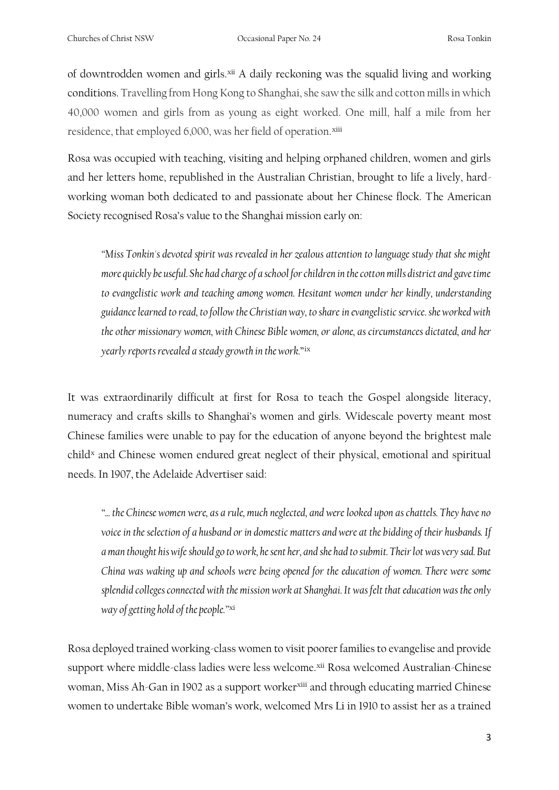of downtrodden women and girls.<sup>xii</sup> A daily reckoning was the squalid living and working conditions. Travelling from Hong Kong to Shanghai, she saw the silk and cotton mills in which 40,000 women and girls from as young as eight worked. One mill, half a mile from her residence, that employed 6,000, was her field of operation.<sup>xiii</sup>

Rosa was occupied with teaching, visiting and helping orphaned children, women and girls and her letters home, republished in the Australian Christian, brought to life a lively, hardworking woman both dedicated to and passionate about her Chinese flock. The American Society recognised Rosa's value to the Shanghai mission early on:

*"Miss Tonkin's devoted spirit was revealed in her zealous attention to language study that she might more quickly be useful. She had charge of a school for children in the cotton mills district and gave time to evangelistic work and teaching among women. Hesitant women under her kindly, understanding guidance learned to read, to follow the Christian way, to share in evangelistic service. she worked with the other missionary women, with Chinese Bible women, or alone, as circumstances dictated, and her yearly reports revealed a steady growth in the work.*" ix

It was extraordinarily difficult at first for Rosa to teach the Gospel alongside literacy, numeracy and crafts skills to Shanghai's women and girls. Widescale poverty meant most Chinese families were unable to pay for the education of anyone beyond the brightest male child<sup>x</sup> and Chinese women endured great neglect of their physical, emotional and spiritual needs. In 1907, the Adelaide Advertiser said:

*"... the Chinese women were, as a rule, much neglected, and were looked upon as chattels. They have no voice in the selection of a husband or in domestic matters and were at the bidding of their husbands. If a man thought his wife should go to work, he sent her, and she had to submit. Their lot was very sad. But China was waking up and schools were being opened for the education of women. There were some splendid colleges connected with the mission work at Shanghai. It was felt that education was the only way of getting hold of the people."* xi

Rosa deployed trained working-class women to visit poorer families to evangelise and provide support where middle-class ladies were less welcome.<sup>xii</sup> Rosa welcomed Australian-Chinese woman, Miss Ah-Gan in 1902 as a support worker<sup>xiii</sup> and through educating married Chinese women to undertake Bible woman's work, welcomed Mrs Li in 1910 to assist her as a trained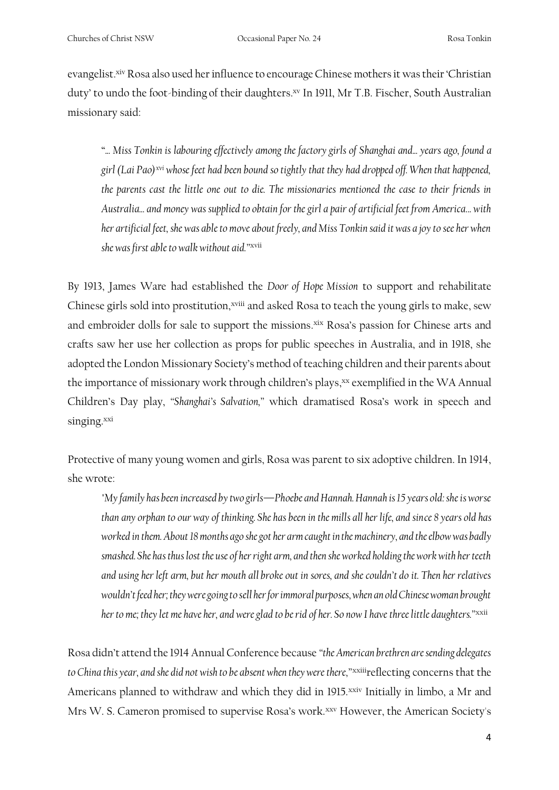evangelist.<sup>xiv</sup> Rosa also used her influence to encourage Chinese mothers it was their 'Christian duty' to undo the foot-binding of their daughters. xv In 1911, Mr T.B. Fischer, South Australian missionary said:

"*... Miss Tonkin is labouring effectively among the factory girls of Shanghai and... years ago, found a girl (Lai Pao)xvi whose feet had been bound so tightly that they had dropped off. When that happened, the parents cast the little one out to die. The missionaries mentioned the case to their friends in Australia... and money was supplied to obtain for the girl a pair of artificial feet from America... with her artificial feet, she was able to move about freely, and Miss Tonkin said it was a joy to see her when she was first able to walk without aid."* xvii

By 1913, James Ware had established the *Door of Hope Mission* to support and rehabilitate Chinese girls sold into prostitution,<sup>xviii</sup> and asked Rosa to teach the young girls to make, sew and embroider dolls for sale to support the missions.<sup>xix</sup> Rosa's passion for Chinese arts and crafts saw her use her collection as props for public speeches in Australia, and in 1918, she adopted the London Missionary Society's method of teaching children and their parents about the importance of missionary work through children's plays,<sup>xx</sup> exemplified in the WA Annual Children's Day play, *"Shanghai's Salvation,"* which dramatised Rosa's work in speech and singing.xxi

Protective of many young women and girls, Rosa was parent to six adoptive children. In 1914, she wrote:

*"My family has been increased by two girls—Phoebe and Hannah. Hannah is 15 years old: she is worse than any orphan to our way of thinking. She has been in the mills all her life, and since 8 years old has worked in them. About 18 months ago she got her arm caught in the machinery, and the elbow was badly smashed. She has thus lost the use of her right arm, and then she worked holding the work with her teeth and using her left arm, but her mouth all broke out in sores, and she couldn't do it. Then her relatives wouldn't feed her; they were going to sell her for immoral purposes, when an old Chinese woman brought her to me; they let me have her, and were glad to be rid of her. So now I have three little daughters."*xxii

Rosa didn't attend the 1914 Annual Conference because *"the American brethren are sending delegates to China this year, and she did not wish to be absent when they were there,"*xxiiireflecting concerns that the Americans planned to withdraw and which they did in 1915.<sup>xxiv</sup> Initially in limbo, a Mr and Mrs W. S. Cameron promised to supervise Rosa's work.<sup>xxv</sup> However, the American Society's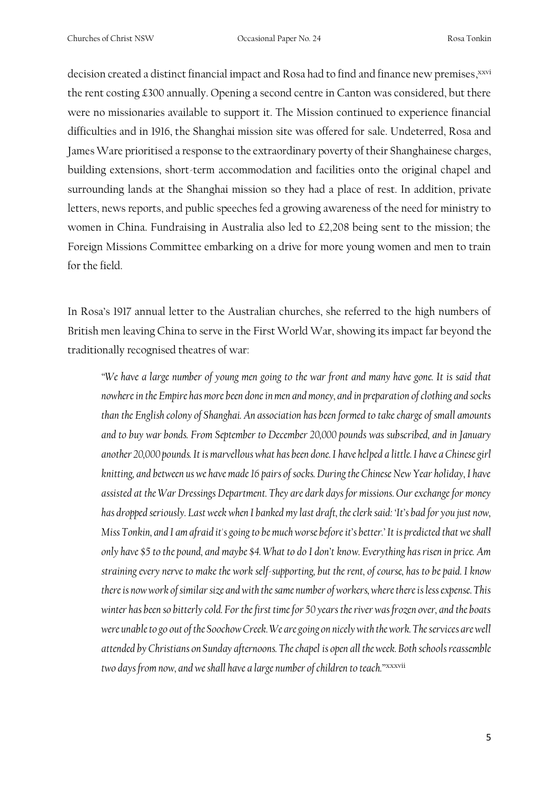Churches of Christ NSW Occasional Paper No. 24 Rosa Tonkin

decision created a distinct financial impact and Rosa had to find and finance new premises, xxvi the rent costing £300 annually. Opening a second centre in Canton was considered, but there were no missionaries available to support it. The Mission continued to experience financial difficulties and in 1916, the Shanghai mission site was offered for sale. Undeterred, Rosa and James Ware prioritised a response to the extraordinary poverty of their Shanghainese charges, building extensions, short-term accommodation and facilities onto the original chapel and surrounding lands at the Shanghai mission so they had a place of rest. In addition, private letters, news reports, and public speeches fed a growing awareness of the need for ministry to women in China. Fundraising in Australia also led to £2,208 being sent to the mission; the Foreign Missions Committee embarking on a drive for more young women and men to train for the field.

In Rosa's 1917 annual letter to the Australian churches, she referred to the high numbers of British men leaving China to serve in the First World War, showing its impact far beyond the traditionally recognised theatres of war:

*"We have a large number of young men going to the war front and many have gone. It is said that nowhere in the Empire has more been done in men and money, and in preparation of clothing and socks than the English colony of Shanghai. An association has been formed to take charge of small amounts and to buy war bonds. From September to December 20,000 pounds was subscribed, and in January another 20,000 pounds. It is marvellous what has been done. I have helped a little. I have a Chinese girl knitting, and between us we have made 16 pairs of socks. During the Chinese New Year holiday, I have assisted at the War Dressings Department. They are dark days for missions. Our exchange for money has dropped seriously. Last week when I banked my last draft, the clerk said: 'It's bad for you just now, Miss Tonkin, and I am afraid it's going to be much worse before it's better.' It is predicted that we shall only have \$5 to the pound, and maybe \$4. What to do I don't know. Everything has risen in price. Am straining every nerve to make the work self-supporting, but the rent, of course, has to be paid. I know there is now work of similar size and with the same number of workers, where there is less expense. This winter has been so bitterly cold. For the first time for 50 years the river was frozen over, and the boats were unable to go out of the Soochow Creek. We are going on nicely with the work. The services are well attended by Christians on Sunday afternoons. The chapel is open all the week. Both schools reassemble two days from now, and we shall have a large number of children to teach."*xxxvii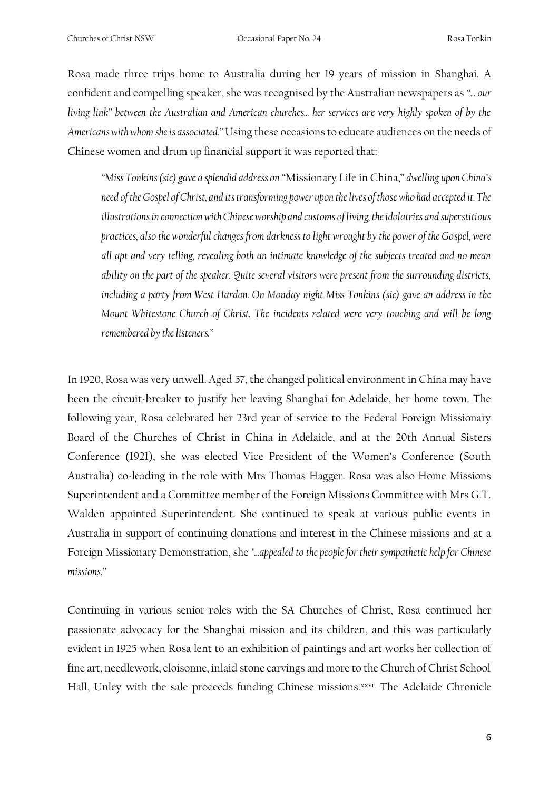Rosa made three trips home to Australia during her 19 years of mission in Shanghai. A confident and compelling speaker, she was recognised by the Australian newspapers as *"... our living link" between the Australian and American churches... her services are very highly spoken of by the Americans with whom she is associated."* Using these occasions to educate audiences on the needs of Chinese women and drum up financial support it was reported that:

*"Miss Tonkins (sic) gave a splendid address on* "Missionary Life in China," *dwelling upon China's need of the Gospel of Christ, and its transforming power upon the lives of those who had accepted it. The illustrations in connection with Chinese worship and customs of living, the idolatries and superstitious practices, also the wonderful changes from darkness to light wrought by the power of the Gospel, were all apt and very telling, revealing both an intimate knowledge of the subjects treated and no mean ability on the part of the speaker. Quite several visitors were present from the surrounding districts, including a party from West Hardon. On Monday night Miss Tonkins (sic) gave an address in the Mount Whitestone Church of Christ. The incidents related were very touching and will be long remembered by the listeners."*

In 1920, Rosa was very unwell. Aged 57, the changed political environment in China may have been the circuit-breaker to justify her leaving Shanghai for Adelaide, her home town. The following year, Rosa celebrated her 23rd year of service to the Federal Foreign Missionary Board of the Churches of Christ in China in Adelaide, and at the 20th Annual Sisters Conference (1921), she was elected Vice President of the Women's Conference (South Australia) co-leading in the role with Mrs Thomas Hagger. Rosa was also Home Missions Superintendent and a Committee member of the Foreign Missions Committee with Mrs G.T. Walden appointed Superintendent. She continued to speak at various public events in Australia in support of continuing donations and interest in the Chinese missions and at a Foreign Missionary Demonstration, she *"...appealed to the people for their sympathetic help for Chinese missions."*

Continuing in various senior roles with the SA Churches of Christ, Rosa continued her passionate advocacy for the Shanghai mission and its children, and this was particularly evident in 1925 when Rosa lent to an exhibition of paintings and art works her collection of fine art, needlework, cloisonne, inlaid stone carvings and more to the Church of Christ School Hall, Unley with the sale proceeds funding Chinese missions.<sup>xxvii</sup> The Adelaide Chronicle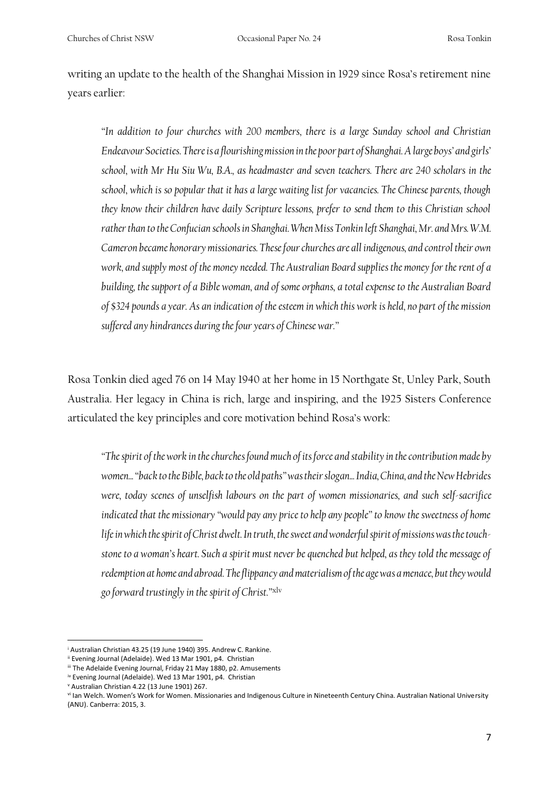writing an update to the health of the Shanghai Mission in 1929 since Rosa's retirement nine years earlier:

*"In addition to four churches with 200 members, there is a large Sunday school and Christian Endeavour Societies. There is a flourishing mission in the poor part of Shanghai. A large boys' and girls' school, with Mr Hu Siu Wu, B.A., as headmaster and seven teachers. There are 240 scholars in the school, which is so popular that it has a large waiting list for vacancies. The Chinese parents, though they know their children have daily Scripture lessons, prefer to send them to this Christian school rather than to the Confucian schools in Shanghai. When Miss Tonkin left Shanghai, Mr. and Mrs. W.M. Cameron became honorary missionaries. These four churches are all indigenous, and control their own work, and supply most of the money needed. The Australian Board supplies the money for the rent of a building, the support of a Bible woman, and of some orphans, a total expense to the Australian Board of \$324 pounds a year. As an indication of the esteem in which this work is held, no part of the mission suffered any hindrances during the four years of Chinese war."*

Rosa Tonkin died aged 76 on 14 May 1940 at her home in 15 Northgate St, Unley Park, South Australia. Her legacy in China is rich, large and inspiring, and the 1925 Sisters Conference articulated the key principles and core motivation behind Rosa's work:

*"The spirit of the work in the churches found much of its force and stability in the contribution made by women... "back to the Bible, back to the old paths" was their slogan... India, China, and the New Hebrides were, today scenes of unselfish labours on the part of women missionaries, and such self-sacrifice indicated that the missionary "would pay any price to help any people" to know the sweetness of home life in which the spirit of Christ dwelt. In truth, the sweet and wonderful spirit of missions was the touchstone to a woman's heart. Such a spirit must never be quenched but helped, as they told the message of redemption at home and abroad. The flippancy and materialism of the age was a menace, but they would go forward trustingly in the spirit of Christ."*xlv

<sup>i</sup> Australian Christian 43.25 (19 June 1940) 395. Andrew C. Rankine.

ii Evening Journal (Adelaide). Wed 13 Mar 1901, p4. Christian

iii The Adelaide Evening Journal, Friday 21 May 1880, p2. Amusements

iv Evening Journal (Adelaide). Wed 13 Mar 1901, p4. Christian

<sup>v</sup> Australian Christian 4.22 (13 June 1901) 267.

vi Ian Welch. Women's Work for Women. Missionaries and Indigenous Culture in Nineteenth Century China. Australian National University (ANU). Canberra: 2015, 3.